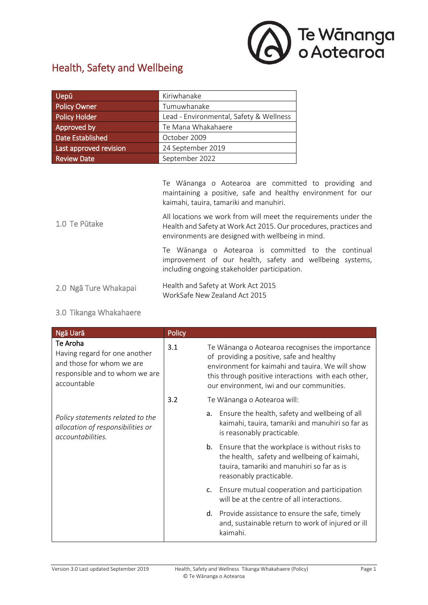

## Health, Safety and Wellbeing

| Uepū                   | Kiriwhanake                             |
|------------------------|-----------------------------------------|
| Policy Owner           | Tumuwhanake                             |
| <b>Policy Holder</b>   | Lead - Environmental, Safety & Wellness |
| Approved by            | Te Mana Whakahaere                      |
| Date Established       | October 2009                            |
| Last approved revision | 24 September 2019                       |
| <b>Review Date</b>     | September 2022                          |

Te Wānanga o Aotearoa are committed to providing and maintaining a positive, safe and healthy environment for our kaimahi, tauira, tamariki and manuhiri.

1.0 Te Pūtake All locations we work from will meet the requirements under the Health and Safety at Work Act 2015. Our procedures, practices and environments are designed with wellbeing in mind.

Te Wānanga o Aotearoa is committed to the continual improvement of our health, safety and wellbeing systems, including ongoing stakeholder participation.

2.0 Ngā Ture Whakapai Health and Safety at Work Act 2015 WorkSafe New Zealand Act 2015

## 3.0 Tikanga Whakahaere

| Ngā Uarā                                                                                                                | Policy |                |                                                                                                                                                                                                                                                      |
|-------------------------------------------------------------------------------------------------------------------------|--------|----------------|------------------------------------------------------------------------------------------------------------------------------------------------------------------------------------------------------------------------------------------------------|
| Te Aroha<br>Having regard for one another<br>and those for whom we are<br>responsible and to whom we are<br>accountable | 3.1    |                | Te Wānanga o Aotearoa recognises the importance<br>of providing a positive, safe and healthy<br>environment for kaimahi and tauira. We will show<br>this through positive interactions with each other,<br>our environment, iwi and our communities. |
|                                                                                                                         | 3.2    |                | Te Wānanga o Aotearoa will:                                                                                                                                                                                                                          |
| Policy statements related to the<br>allocation of responsibilities or<br>accountabilities.                              |        | a.             | Ensure the health, safety and wellbeing of all<br>kaimahi, tauira, tamariki and manuhiri so far as<br>is reasonably practicable.                                                                                                                     |
|                                                                                                                         |        | b.             | Ensure that the workplace is without risks to<br>the health, safety and wellbeing of kaimahi,<br>tauira, tamariki and manuhiri so far as is<br>reasonably practicable.                                                                               |
|                                                                                                                         |        | $\mathsf{C}$ . | Ensure mutual cooperation and participation<br>will be at the centre of all interactions.                                                                                                                                                            |
|                                                                                                                         |        |                | d. Provide assistance to ensure the safe, timely<br>and, sustainable return to work of injured or ill<br>kaimahi.                                                                                                                                    |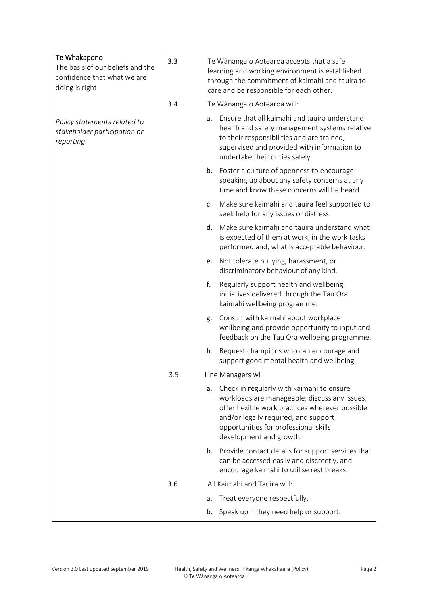| Te Whakapono<br>The basis of our beliefs and the<br>confidence that what we are<br>doing is right | 3.3 | Te Wānanga o Aotearoa accepts that a safe<br>learning and working environment is established<br>through the commitment of kaimahi and tauira to<br>care and be responsible for each other.                                                                      |
|---------------------------------------------------------------------------------------------------|-----|-----------------------------------------------------------------------------------------------------------------------------------------------------------------------------------------------------------------------------------------------------------------|
|                                                                                                   | 3.4 | Te Wānanga o Aotearoa will:                                                                                                                                                                                                                                     |
| Policy statements related to<br>stakeholder participation or<br>reporting.                        |     | Ensure that all kaimahi and tauira understand<br>a.<br>health and safety management systems relative<br>to their responsibilities and are trained,<br>supervised and provided with information to<br>undertake their duties safely.                             |
|                                                                                                   |     | Foster a culture of openness to encourage<br>b.<br>speaking up about any safety concerns at any<br>time and know these concerns will be heard.                                                                                                                  |
|                                                                                                   |     | Make sure kaimahi and tauira feel supported to<br>c.<br>seek help for any issues or distress.                                                                                                                                                                   |
|                                                                                                   |     | Make sure kaimahi and tauira understand what<br>d.<br>is expected of them at work, in the work tasks<br>performed and, what is acceptable behaviour.                                                                                                            |
|                                                                                                   |     | Not tolerate bullying, harassment, or<br>e.<br>discriminatory behaviour of any kind.                                                                                                                                                                            |
|                                                                                                   |     | f.<br>Regularly support health and wellbeing<br>initiatives delivered through the Tau Ora<br>kaimahi wellbeing programme.                                                                                                                                       |
|                                                                                                   |     | Consult with kaimahi about workplace<br>g.<br>wellbeing and provide opportunity to input and<br>feedback on the Tau Ora wellbeing programme.                                                                                                                    |
|                                                                                                   |     | h.<br>Request champions who can encourage and<br>support good mental health and wellbeing.                                                                                                                                                                      |
|                                                                                                   | 3.5 | Line Managers will                                                                                                                                                                                                                                              |
|                                                                                                   |     | Check in regularly with kaimahi to ensure<br>a.<br>workloads are manageable, discuss any issues,<br>offer flexible work practices wherever possible<br>and/or legally required, and support<br>opportunities for professional skills<br>development and growth. |
|                                                                                                   |     | Provide contact details for support services that<br>b.<br>can be accessed easily and discreetly, and<br>encourage kaimahi to utilise rest breaks.                                                                                                              |
|                                                                                                   | 3.6 | All Kaimahi and Tauira will:                                                                                                                                                                                                                                    |
|                                                                                                   |     | Treat everyone respectfully.<br>a.                                                                                                                                                                                                                              |
|                                                                                                   |     | Speak up if they need help or support.<br>b.                                                                                                                                                                                                                    |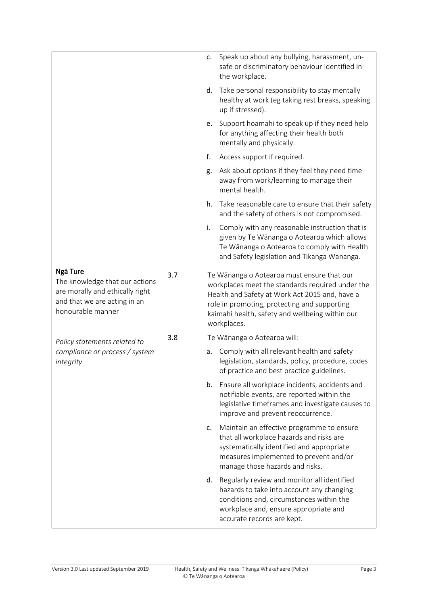|                                                                                                                                    |     | c. | Speak up about any bullying, harassment, un-<br>safe or discriminatory behaviour identified in<br>the workplace.                                                                                                                                                   |
|------------------------------------------------------------------------------------------------------------------------------------|-----|----|--------------------------------------------------------------------------------------------------------------------------------------------------------------------------------------------------------------------------------------------------------------------|
|                                                                                                                                    |     | d. | Take personal responsibility to stay mentally<br>healthy at work (eg taking rest breaks, speaking<br>up if stressed).                                                                                                                                              |
|                                                                                                                                    |     | e. | Support hoamahi to speak up if they need help<br>for anything affecting their health both<br>mentally and physically.                                                                                                                                              |
|                                                                                                                                    |     | f. | Access support if required.                                                                                                                                                                                                                                        |
|                                                                                                                                    |     | g. | Ask about options if they feel they need time<br>away from work/learning to manage their<br>mental health.                                                                                                                                                         |
|                                                                                                                                    |     | h. | Take reasonable care to ensure that their safety<br>and the safety of others is not compromised.                                                                                                                                                                   |
|                                                                                                                                    |     | i. | Comply with any reasonable instruction that is<br>given by Te Wānanga o Aotearoa which allows<br>Te Wānanga o Aotearoa to comply with Health<br>and Safety legislation and Tikanga Wananga.                                                                        |
| Ngā Ture<br>The knowledge that our actions<br>are morally and ethically right<br>and that we are acting in an<br>honourable manner | 3.7 |    | Te Wānanga o Aotearoa must ensure that our<br>workplaces meet the standards required under the<br>Health and Safety at Work Act 2015 and, have a<br>role in promoting, protecting and supporting<br>kaimahi health, safety and wellbeing within our<br>workplaces. |
| Policy statements related to                                                                                                       | 3.8 |    | Te Wānanga o Aotearoa will:                                                                                                                                                                                                                                        |
| compliance or process / system<br>integrity                                                                                        |     | a. | Comply with all relevant health and safety<br>legislation, standards, policy, procedure, codes<br>of practice and best practice guidelines.                                                                                                                        |
|                                                                                                                                    |     | b. | Ensure all workplace incidents, accidents and<br>notifiable events, are reported within the<br>legislative timeframes and investigate causes to<br>improve and prevent reoccurrence.                                                                               |
|                                                                                                                                    |     | c. | Maintain an effective programme to ensure<br>that all workplace hazards and risks are<br>systematically identified and appropriate<br>measures implemented to prevent and/or<br>manage those hazards and risks.                                                    |
|                                                                                                                                    |     | d. | Regularly review and monitor all identified<br>hazards to take into account any changing<br>conditions and, circumstances within the<br>workplace and, ensure appropriate and<br>accurate records are kept.                                                        |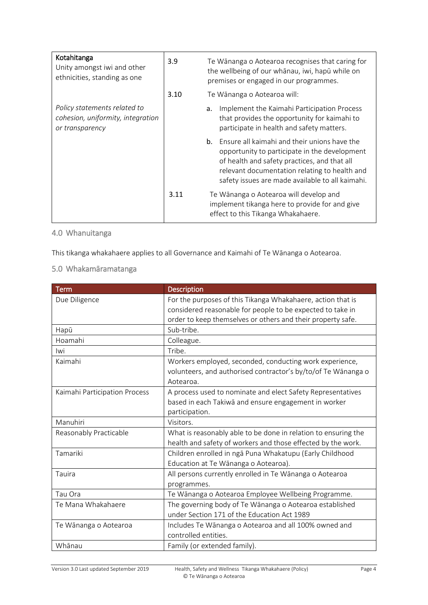| Kotahitanga<br>Unity amongst iwi and other<br>ethnicities, standing as one           | 3.9  | Te Wānanga o Aotearoa recognises that caring for<br>the wellbeing of our whānau, iwi, hapū while on<br>premises or engaged in our programmes.                                                                                                                |
|--------------------------------------------------------------------------------------|------|--------------------------------------------------------------------------------------------------------------------------------------------------------------------------------------------------------------------------------------------------------------|
|                                                                                      | 3.10 | Te Wānanga o Aotearoa will:                                                                                                                                                                                                                                  |
| Policy statements related to<br>cohesion, uniformity, integration<br>or transparency |      | Implement the Kaimahi Participation Process<br>a.<br>that provides the opportunity for kaimahi to<br>participate in health and safety matters.                                                                                                               |
|                                                                                      |      | <b>b.</b> Ensure all kaimahi and their unions have the<br>opportunity to participate in the development<br>of health and safety practices, and that all<br>relevant documentation relating to health and<br>safety issues are made available to all kaimahi. |
|                                                                                      | 3.11 | Te Wānanga o Aotearoa will develop and<br>implement tikanga here to provide for and give<br>effect to this Tikanga Whakahaere.                                                                                                                               |

## 4.0 Whanuitanga

This tikanga whakahaere applies to all Governance and Kaimahi of Te Wānanga o Aotearoa.

## 5.0 Whakamāramatanga

| Term                          | Description                                                                                                                           |
|-------------------------------|---------------------------------------------------------------------------------------------------------------------------------------|
| Due Diligence                 | For the purposes of this Tikanga Whakahaere, action that is                                                                           |
|                               | considered reasonable for people to be expected to take in                                                                            |
|                               | order to keep themselves or others and their property safe.                                                                           |
| Hapū                          | Sub-tribe.                                                                                                                            |
| Hoamahi                       | Colleague.                                                                                                                            |
| lwi.                          | Tribe.                                                                                                                                |
| Kaimahi                       | Workers employed, seconded, conducting work experience,<br>volunteers, and authorised contractor's by/to/of Te Wānanga o<br>Aotearoa. |
| Kaimahi Participation Process | A process used to nominate and elect Safety Representatives                                                                           |
|                               | based in each Takiwā and ensure engagement in worker                                                                                  |
|                               | participation.                                                                                                                        |
| Manuhiri                      | Visitors.                                                                                                                             |
| Reasonably Practicable        | What is reasonably able to be done in relation to ensuring the                                                                        |
|                               | health and safety of workers and those effected by the work.                                                                          |
| Tamariki                      | Children enrolled in ngā Puna Whakatupu (Early Childhood                                                                              |
|                               | Education at Te Wānanga o Aotearoa).                                                                                                  |
| Tauira                        | All persons currently enrolled in Te Wānanga o Aotearoa                                                                               |
|                               | programmes.                                                                                                                           |
| Tau Ora                       | Te Wānanga o Aotearoa Employee Wellbeing Programme.                                                                                   |
| Te Mana Whakahaere            | The governing body of Te Wānanga o Aotearoa established                                                                               |
|                               | under Section 171 of the Education Act 1989                                                                                           |
| Te Wānanga o Aotearoa         | Includes Te Wānanga o Aotearoa and all 100% owned and                                                                                 |
|                               | controlled entities.                                                                                                                  |
| Whānau                        | Family (or extended family).                                                                                                          |